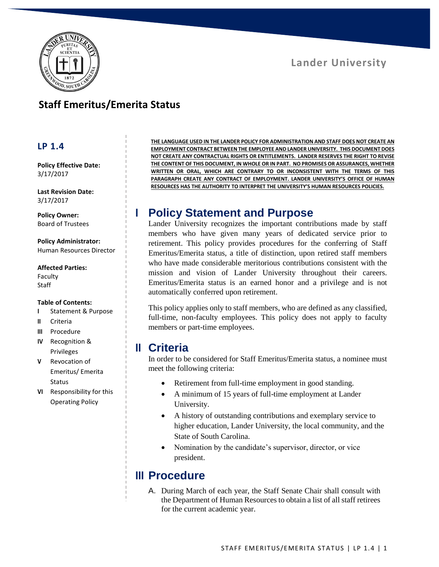

#### **Lander University**

### **Staff Emeritus/Emerita Status**

#### **LP 1.4**

**Policy Effective Date:** 3/17/2017

**Last Revision Date:** 3/17/2017

**Policy Owner:** Board of Trustees

**Policy Administrator:** Human Resources Director

**Affected Parties:**

Faculty **Staff** 

#### **Table of Contents:**

- **I** Statement & Purpose
- **II** Criteria
- **III** Procedure
- **IV** Recognition & Privileges
- **V** Revocation of Emeritus/ Emerita Status
- **VI** Responsibility for this Operating Policy

**THE LANGUAGE USED IN THE LANDER POLICY FOR ADMINISTRATION AND STAFF DOES NOT CREATE AN EMPLOYMENT CONTRACT BETWEEN THE EMPLOYEE AND LANDER UNIVERSITY. THIS DOCUMENT DOES NOT CREATE ANY CONTRACTUAL RIGHTS OR ENTITLEMENTS. LANDER RESERVES THE RIGHT TO REVISE THE CONTENT OF THIS DOCUMENT, IN WHOLE OR IN PART. NO PROMISES OR ASSURANCES, WHETHER WRITTEN OR ORAL, WHICH ARE CONTRARY TO OR INCONSISTENT WITH THE TERMS OF THIS PARAGRAPH CREATE ANY CONTRACT OF EMPLOYMENT. LANDER UNIVERSITY'S OFFICE OF HUMAN RESOURCES HAS THE AUTHORITY TO INTERPRET THE UNIVERSITY'S HUMAN RESOURCES POLICIES.**

## **I Policy Statement and Purpose**

Lander University recognizes the important contributions made by staff members who have given many years of dedicated service prior to retirement. This policy provides procedures for the conferring of Staff Emeritus/Emerita status, a title of distinction, upon retired staff members who have made considerable meritorious contributions consistent with the mission and vision of Lander University throughout their careers. Emeritus/Emerita status is an earned honor and a privilege and is not automatically conferred upon retirement.

This policy applies only to staff members, who are defined as any classified, full-time, non-faculty employees. This policy does not apply to faculty members or part-time employees.

#### **II Criteria**

In order to be considered for Staff Emeritus/Emerita status, a nominee must meet the following criteria:

- Retirement from full-time employment in good standing.
- A minimum of 15 years of full-time employment at Lander University.
- A history of outstanding contributions and exemplary service to higher education, Lander University, the local community, and the State of South Carolina.
- Nomination by the candidate's supervisor, director, or vice president.

### **III Procedure**

A. During March of each year, the Staff Senate Chair shall consult with the Department of Human Resources to obtain a list of all staff retirees for the current academic year.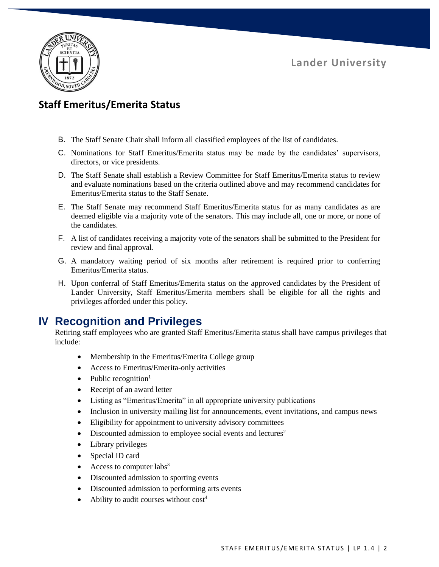**Lander University**



### **Staff Emeritus/Emerita Status**

- B. The Staff Senate Chair shall inform all classified employees of the list of candidates.
- C. Nominations for Staff Emeritus/Emerita status may be made by the candidates' supervisors, directors, or vice presidents.
- D. The Staff Senate shall establish a Review Committee for Staff Emeritus/Emerita status to review and evaluate nominations based on the criteria outlined above and may recommend candidates for Emeritus/Emerita status to the Staff Senate.
- E. The Staff Senate may recommend Staff Emeritus/Emerita status for as many candidates as are deemed eligible via a majority vote of the senators. This may include all, one or more, or none of the candidates.
- F. A list of candidates receiving a majority vote of the senators shall be submitted to the President for review and final approval.
- G. A mandatory waiting period of six months after retirement is required prior to conferring Emeritus/Emerita status.
- H. Upon conferral of Staff Emeritus/Emerita status on the approved candidates by the President of Lander University, Staff Emeritus/Emerita members shall be eligible for all the rights and privileges afforded under this policy.

# **IV Recognition and Privileges**

Retiring staff employees who are granted Staff Emeritus/Emerita status shall have campus privileges that include:

- Membership in the Emeritus/Emerita College group
- Access to Emeritus/Emerita-only activities
- Public recognition $<sup>1</sup>$ </sup>
- Receipt of an award letter
- Listing as "Emeritus/Emerita" in all appropriate university publications
- Inclusion in university mailing list for announcements, event invitations, and campus news
- Eligibility for appointment to university advisory committees
- $\bullet$  Discounted admission to employee social events and lectures<sup>2</sup>
- Library privileges
- Special ID card
- Access to computer  $\text{labs}^3$
- Discounted admission to sporting events
- Discounted admission to performing arts events
- Ability to audit courses without  $cost<sup>4</sup>$